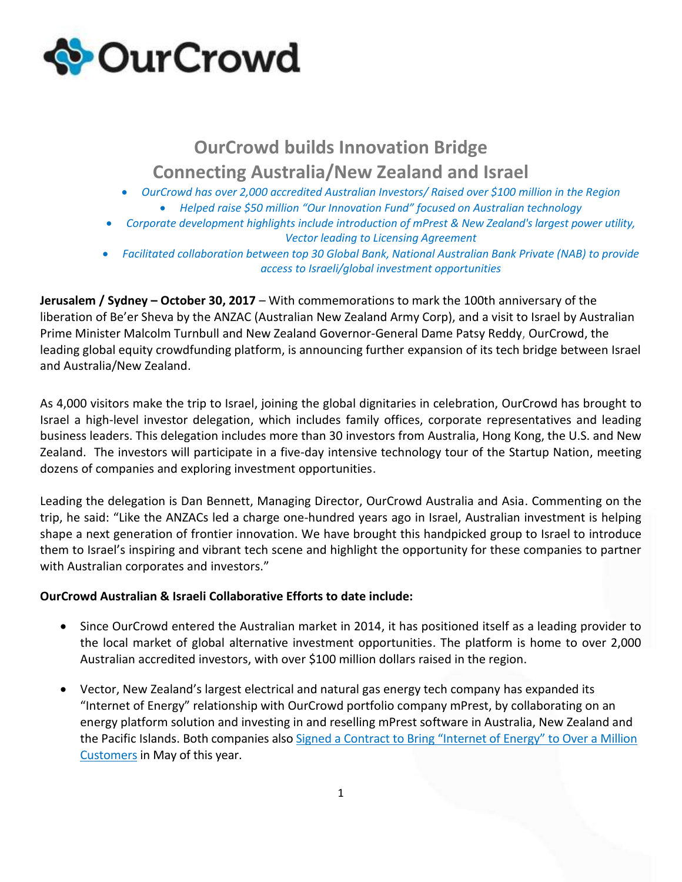

## **OurCrowd builds Innovation Bridge Connecting Australia/New Zealand and Israel**

- *OurCrowd has over 2,000 accredited Australian Investors/ Raised over \$100 million in the Region*
	- *Helped raise \$50 million "Our Innovation Fund" focused on Australian technology*
- *Corporate development highlights include introduction of mPrest & New Zealand's largest power utility, Vector leading to Licensing Agreement*
- *Facilitated collaboration between top 30 Global Bank, National Australian Bank Private (NAB) to provide access to Israeli/global investment opportunities*

**Jerusalem / Sydney – October 30, 2017** – With commemorations to mark the 100th anniversary of the liberation of Be'er Sheva by the ANZAC (Australian New Zealand Army Corp), and a visit to Israel by Australian Prime Minister Malcolm Turnbull and New Zealand Governor-General Dame Patsy Reddy, OurCrowd, the leading global equity crowdfunding platform, is announcing further expansion of its tech bridge between Israel and Australia/New Zealand.

As 4,000 visitors make the trip to Israel, joining the global dignitaries in celebration, OurCrowd has brought to Israel a high-level investor delegation, which includes family offices, corporate representatives and leading business leaders. This delegation includes more than 30 investors from Australia, Hong Kong, the U.S. and New Zealand. The investors will participate in a five-day intensive technology tour of the Startup Nation, meeting dozens of companies and exploring investment opportunities.

Leading the delegation is Dan Bennett, Managing Director, OurCrowd Australia and Asia. Commenting on the trip, he said: "Like the ANZACs led a charge one-hundred years ago in Israel, Australian investment is helping shape a next generation of frontier innovation. We have brought this handpicked group to Israel to introduce them to Israel's inspiring and vibrant tech scene and highlight the opportunity for these companies to partner with Australian corporates and investors."

## **OurCrowd Australian & Israeli Collaborative Efforts to date include:**

- Since OurCrowd entered the Australian market in 2014, it has positioned itself as a leading provider to the local market of global alternative investment opportunities. The platform is home to over 2,000 Australian accredited investors, with over \$100 million dollars raised in the region.
- Vector, New Zealand's largest electrical and natural gas energy tech company has expanded its "Internet of Energy" relationship with OurCrowd portfolio company mPrest, by collaborating on an energy platform solution and investing in and reselling mPrest software in Australia, New Zealand and the Pacific Islands. Both companies also [Signed a Contract to Bring "Internet of Energy" to Over a](http://www.businesswire.com/news/home/20170504005870/en/mPrest-Vector-New-Zealands-Largest-Power-Utility) Million [Customers](http://www.businesswire.com/news/home/20170504005870/en/mPrest-Vector-New-Zealands-Largest-Power-Utility) in May of this year.